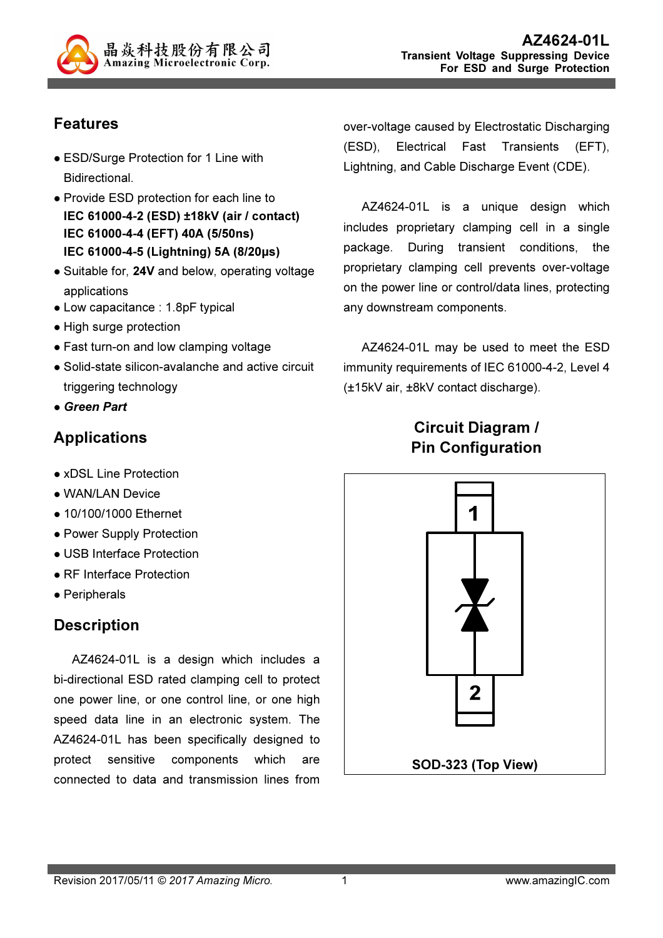

## Features

- ESD/Surge Protection for 1 Line with Bidirectional.
- Provide ESD protection for each line to IEC 61000-4-2 (ESD) ±18kV (air / contact) IEC 61000-4-4 (EFT) 40A (5/50ns) IEC 61000-4-5 (Lightning) 5A (8/20µs)
- Suitable for, 24V and below, operating voltage applications
- Low capacitance : 1.8pF typical
- High surge protection
- Fast turn-on and low clamping voltage
- Solid-state silicon-avalanche and active circuit triggering technology
- Green Part

## Applications

- xDSL Line Protection
- WAN/LAN Device
- 10/100/1000 Ethernet
- Power Supply Protection
- USB Interface Protection
- RF Interface Protection
- Peripherals

## **Description**

AZ4624-01L is a design which includes a bi-directional ESD rated clamping cell to protect one power line, or one control line, or one high speed data line in an electronic system. The AZ4624-01L has been specifically designed to protect sensitive components which are connected to data and transmission lines from

over-voltage caused by Electrostatic Discharging (ESD), Electrical Fast Transients (EFT), Lightning, and Cable Discharge Event (CDE).

AZ4624-01L is a unique design which includes proprietary clamping cell in a single package. During transient conditions, the proprietary clamping cell prevents over-voltage on the power line or control/data lines, protecting any downstream components.

AZ4624-01L may be used to meet the ESD immunity requirements of IEC 61000-4-2, Level 4 (±15kV air, ±8kV contact discharge).

## Circuit Diagram / Pin Configuration

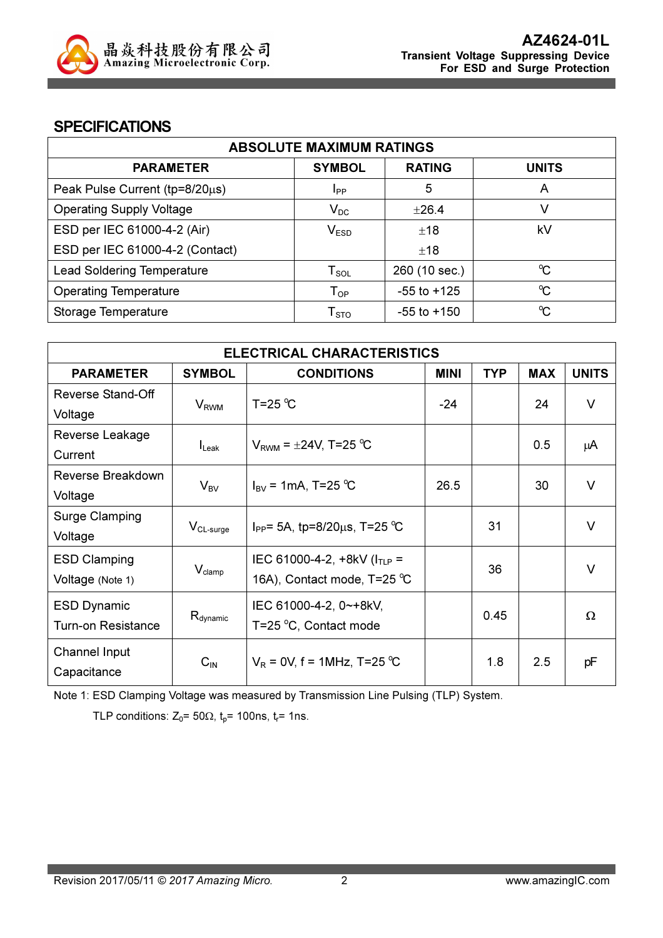

### **SPECIFICATIONS**

| <b>ABSOLUTE MAXIMUM RATINGS</b>   |                            |                 |                      |
|-----------------------------------|----------------------------|-----------------|----------------------|
| <b>PARAMETER</b>                  | <b>SYMBOL</b>              | <b>RATING</b>   | <b>UNITS</b>         |
| Peak Pulse Current (tp=8/20µs)    | <b>I</b> <sub>PP</sub>     | 5               | A                    |
| <b>Operating Supply Voltage</b>   | $V_{DC}$                   | $\pm 26.4$      |                      |
| ESD per IEC 61000-4-2 (Air)       | V <sub>ESD</sub>           | ±18             | kV                   |
| ESD per IEC 61000-4-2 (Contact)   |                            | ±18             |                      |
| <b>Lead Soldering Temperature</b> | ${\sf T}_{\sf SOL}$        | 260 (10 sec.)   | $\mathrm{C}$         |
| <b>Operating Temperature</b>      | $\mathsf{T}_{\mathsf{OP}}$ | $-55$ to $+125$ | $\mathrm{C}^{\circ}$ |
| Storage Temperature               | ${\sf T}_{\text{STO}}$     | $-55$ to $+150$ | $\mathrm{C}$         |

| <b>ELECTRICAL CHARACTERISTICS</b> |                         |                                         |             |            |               |              |
|-----------------------------------|-------------------------|-----------------------------------------|-------------|------------|---------------|--------------|
| <b>PARAMETER</b>                  | <b>SYMBOL</b>           | <b>CONDITIONS</b>                       | <b>MINI</b> | <b>TYP</b> | <b>MAX</b>    | <b>UNITS</b> |
| Reverse Stand-Off                 |                         | T=25 $\degree$ C                        | $-24$       |            | 24            | $\vee$       |
| Voltage                           | <b>V</b> <sub>RWM</sub> |                                         |             |            |               |              |
| Reverse Leakage                   |                         |                                         |             |            | $0.5^{\circ}$ |              |
| Current                           | $I_{\mathsf{Leak}}$     | $V_{RWM} = \pm 24V$ , T=25 °C           |             |            |               | μA           |
| Reverse Breakdown                 |                         | $I_{\text{BV}} = 1 \text{mA}$ , T=25 °C | 26.5        |            | 30            | $\vee$       |
| Voltage                           | $V_{BV}$                |                                         |             |            |               |              |
| <b>Surge Clamping</b>             |                         |                                         |             | 31         |               | $\vee$       |
| Voltage                           | $V_{CL-surge}$          | $I_{PP}$ = 5A, tp=8/20 $\mu$ s, T=25 °C |             |            |               |              |
| <b>ESD Clamping</b>               |                         | IEC 61000-4-2, $+8kV$ ( $I_{TLP}$ =     |             |            |               | $\vee$       |
| Voltage (Note 1)                  | $V_{\text{clamp}}$      | 16A), Contact mode, T=25 °C             |             | 36         |               |              |
| <b>ESD Dynamic</b>                |                         | IEC 61000-4-2, 0~+8kV,                  |             |            |               |              |
| <b>Turn-on Resistance</b>         | $R_{\text{dynamic}}$    | T=25 °C, Contact mode                   |             | 0.45       |               | Ω            |
| Channel Input                     |                         |                                         |             |            |               |              |
| Capacitance                       | $C_{IN}$                | $V_R = 0V$ , f = 1MHz, T=25 °C          |             | 1.8        | 2.5           | pF           |

Note 1: ESD Clamping Voltage was measured by Transmission Line Pulsing (TLP) System.

TLP conditions:  $Z_0$ = 50 $\Omega$ ,  $t_0$ = 100ns,  $t_r$ = 1ns.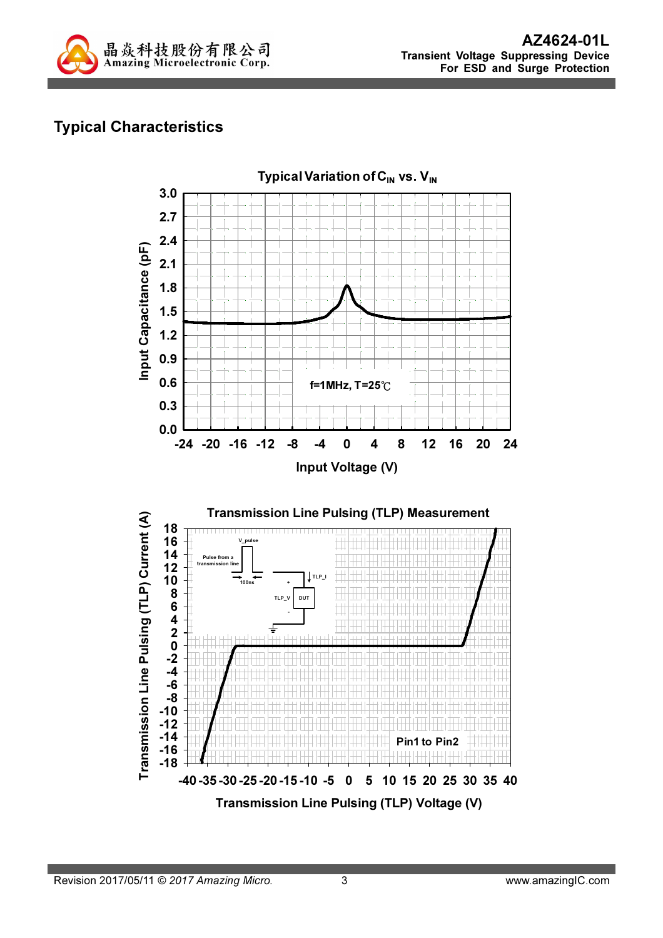

# Typical Characteristics

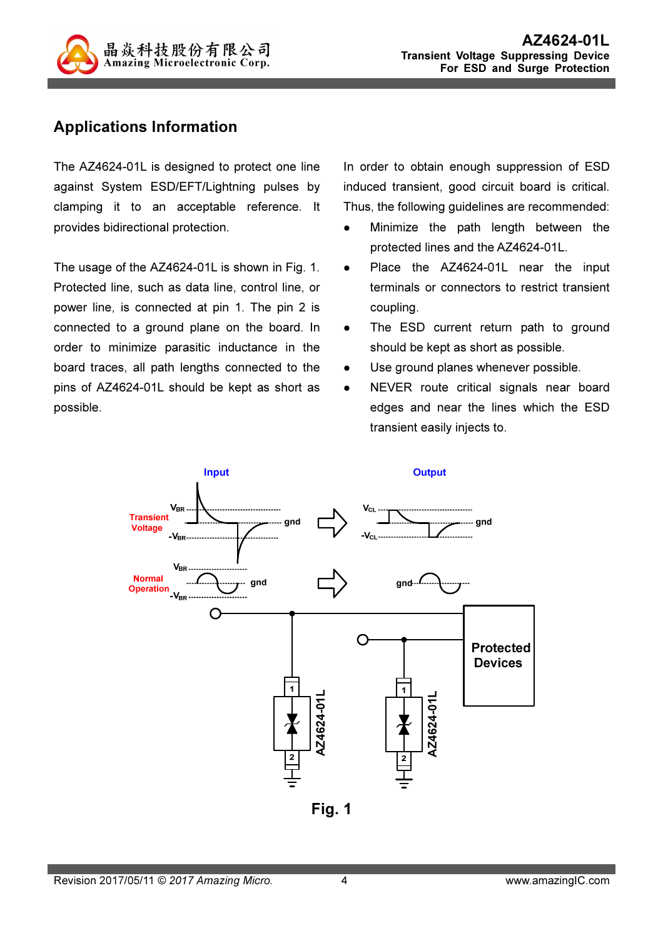

## Applications Information

The AZ4624-01L is designed to protect one line against System ESD/EFT/Lightning pulses by clamping it to an acceptable reference. It provides bidirectional protection.

The usage of the AZ4624-01L is shown in Fig. 1. Protected line, such as data line, control line, or power line, is connected at pin 1. The pin 2 is connected to a ground plane on the board. In order to minimize parasitic inductance in the board traces, all path lengths connected to the pins of AZ4624-01L should be kept as short as possible.

In order to obtain enough suppression of ESD induced transient, good circuit board is critical. Thus, the following guidelines are recommended:

- Minimize the path length between the protected lines and the AZ4624-01L.
- Place the AZ4624-01L near the input terminals or connectors to restrict transient coupling.
- The ESD current return path to ground should be kept as short as possible.
- Use ground planes whenever possible.
- NEVER route critical signals near board edges and near the lines which the ESD transient easily injects to.



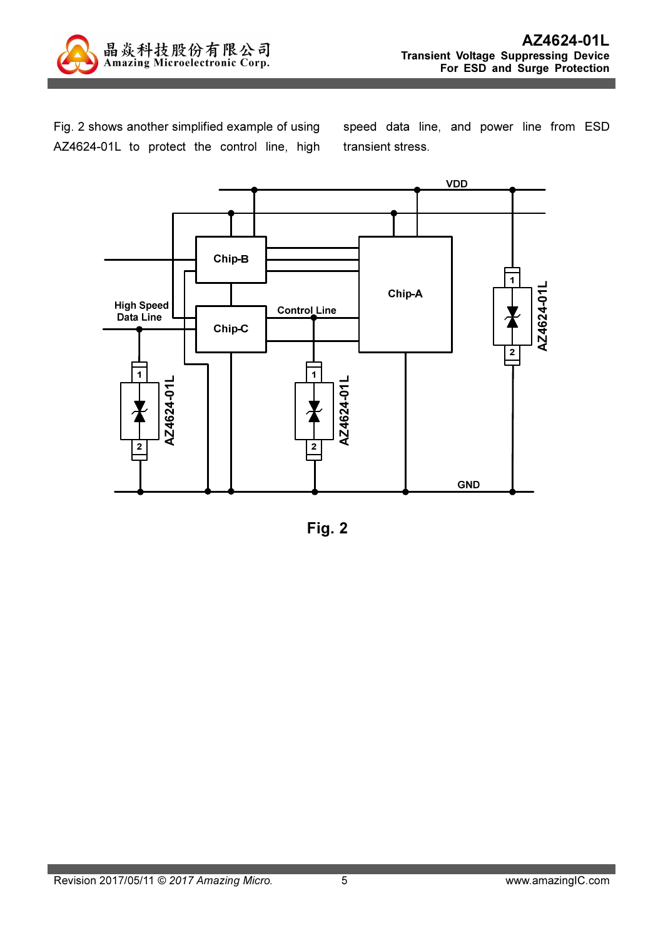

Fig. 2 shows another simplified example of using AZ4624-01L to protect the control line, high speed data line, and power line from ESD transient stress.



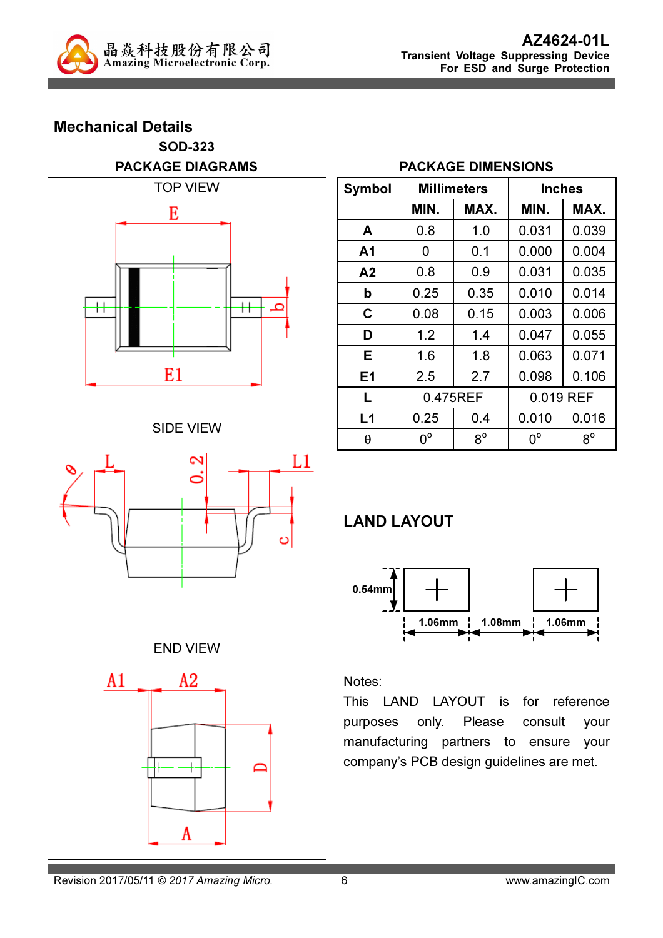

### Mechanical Details SOD-323 PACKAGE DIAGRAMS



### SIDE VIEW



### END VIEW



#### PACKAGE DIMENSIONS

| Symbol | <b>Millimeters</b> |             | Inches      |             |  |
|--------|--------------------|-------------|-------------|-------------|--|
|        | MIN.               | MAX.        | MIN.        | MAX.        |  |
| A      | 0.8                | 1.0         | 0.031       | 0.039       |  |
| A1     | 0                  | 0.1         | 0.000       | 0.004       |  |
| A2     | 0.8                | 0.9         | 0.031       | 0.035       |  |
| b      | 0.25               | 0.35        | 0.010       | 0.014       |  |
| C      | 0.08               | 0.15        | 0.003       | 0.006       |  |
| D      | 1.2                | 1.4         | 0.047       | 0.055       |  |
| Е      | 1.6                | 1.8         | 0.063       | 0.071       |  |
| E1     | 2.5                | 2.7         | 0.098       | 0.106       |  |
| L      | 0.475REF           |             | 0.019 REF   |             |  |
| L1     | 0.25               | 0.4         | 0.010       | 0.016       |  |
| θ      | $0^{\circ}$        | $8^{\circ}$ | $0^{\circ}$ | $8^{\circ}$ |  |

## LAND LAYOUT



#### Notes:

This LAND LAYOUT is for reference purposes only. Please consult your manufacturing partners to ensure your company's PCB design guidelines are met.